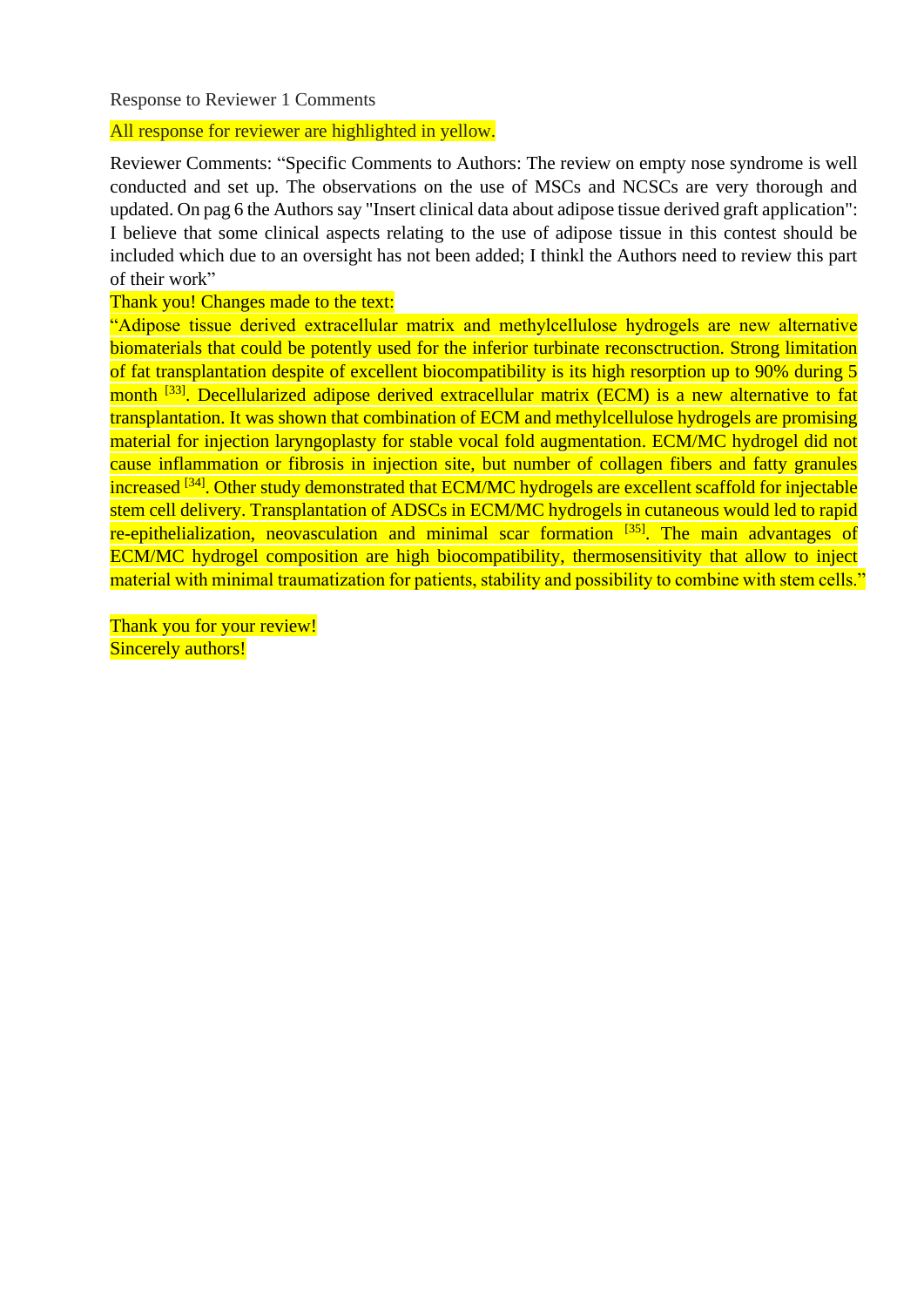Response to Reviewer 1 Comments

All response for reviewer are highlighted in yellow.

Reviewer Comments: "Specific Comments to Authors: The review on empty nose syndrome is well conducted and set up. The observations on the use of MSCs and NCSCs are very thorough and updated. On pag 6 the Authors say "Insert clinical data about adipose tissue derived graft application": I believe that some clinical aspects relating to the use of adipose tissue in this contest should be included which due to an oversight has not been added; I thinkl the Authors need to review this part of their work"

Thank you! Changes made to the text:

"Adipose tissue derived extracellular matrix and methylcellulose hydrogels are new alternative biomaterials that could be potently used for the inferior turbinate reconsctruction. Strong limitation of fat transplantation despite of excellent biocompatibility is its high resorption up to 90% during 5 month <sup>[33]</sup>. Decellularized adipose derived extracellular matrix (ECM) is a new alternative to fat transplantation. It was shown that combination of ECM and methylcellulose hydrogels are promising material for injection laryngoplasty for stable vocal fold augmentation. ECM/MC hydrogel did not cause inflammation or fibrosis in injection site, but number of collagen fibers and fatty granules increased <sup>[34]</sup>. Other study demonstrated that ECM/MC hydrogels are excellent scaffold for injectable stem cell delivery. Transplantation of ADSCs in ECM/MC hydrogels in cutaneous would led to rapid re-epithelialization, neovasculation and minimal scar formation  $[35]$ . The main advantages of ECM/MC hydrogel composition are high biocompatibility, thermosensitivity that allow to inject material with minimal traumatization for patients, stability and possibility to combine with stem cells."

Thank you for your review! Sincerely authors!